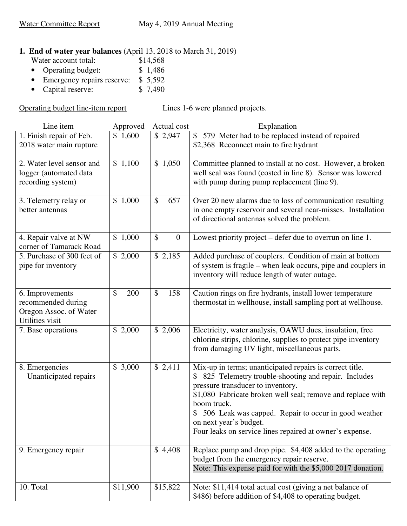# **1. End of water year balances** (April 13, 2018 to March 31, 2019)<br>Water account total: \$14,568

- Water account total: \$14,568<br>• Operating budget: \$1,486
- Operating budget:
- Emergency repairs reserve: \$ 5,592<br>• Capital reserve: \$ 7,490
- $\bullet$  Capital reserve:

Operating budget line-item report Lines 1-6 were planned projects.

| Line item                                                                          | Approved  | Actual cost          | Explanation                                                                                                                                                                                                                                                                                                                                                                      |
|------------------------------------------------------------------------------------|-----------|----------------------|----------------------------------------------------------------------------------------------------------------------------------------------------------------------------------------------------------------------------------------------------------------------------------------------------------------------------------------------------------------------------------|
| 1. Finish repair of Feb.<br>2018 water main rupture                                | \$1,600   | \$2,947              | \$579 Meter had to be replaced instead of repaired<br>\$2,368 Reconnect main to fire hydrant                                                                                                                                                                                                                                                                                     |
| 2. Water level sensor and<br>logger (automated data<br>recording system)           | \$1,100   | \$1,050              | Committee planned to install at no cost. However, a broken<br>well seal was found (costed in line 8). Sensor was lowered<br>with pump during pump replacement (line 9).                                                                                                                                                                                                          |
| 3. Telemetry relay or<br>better antennas                                           | \$1,000   | $\mathcal{S}$<br>657 | Over 20 new alarms due to loss of communication resulting<br>in one empty reservoir and several near-misses. Installation<br>of directional antennas solved the problem.                                                                                                                                                                                                         |
| 4. Repair valve at NW<br>corner of Tamarack Road                                   | \$1,000   | \$<br>$\overline{0}$ | Lowest priority project – defer due to overrun on line 1.                                                                                                                                                                                                                                                                                                                        |
| 5. Purchase of 300 feet of<br>pipe for inventory                                   | \$2,000   | \$2,185              | Added purchase of couplers. Condition of main at bottom<br>of system is fragile – when leak occurs, pipe and couplers in<br>inventory will reduce length of water outage.                                                                                                                                                                                                        |
| 6. Improvements<br>recommended during<br>Oregon Assoc. of Water<br>Utilities visit | \$<br>200 | \$<br>158            | Caution rings on fire hydrants, install lower temperature<br>thermostat in wellhouse, install sampling port at wellhouse.                                                                                                                                                                                                                                                        |
| 7. Base operations                                                                 | \$2,000   | \$2,006              | Electricity, water analysis, OAWU dues, insulation, free<br>chlorine strips, chlorine, supplies to protect pipe inventory<br>from damaging UV light, miscellaneous parts.                                                                                                                                                                                                        |
| 8. Emergencies<br>Unanticipated repairs                                            | \$3,000   | \$2,411              | Mix-up in terms; unanticipated repairs is correct title.<br>825 Telemetry trouble-shooting and repair. Includes<br>pressure transducer to inventory.<br>\$1,080 Fabricate broken well seal; remove and replace with<br>boom truck.<br>506 Leak was capped. Repair to occur in good weather<br>on next year's budget.<br>Four leaks on service lines repaired at owner's expense. |
| 9. Emergency repair                                                                |           | \$4,408              | Replace pump and drop pipe. \$4,408 added to the operating<br>budget from the emergency repair reserve.<br>Note: This expense paid for with the \$5,000 2017 donation.                                                                                                                                                                                                           |
| 10. Total                                                                          | \$11,900  | \$15,822             | Note: \$11,414 total actual cost (giving a net balance of<br>\$486) before addition of \$4,408 to operating budget.                                                                                                                                                                                                                                                              |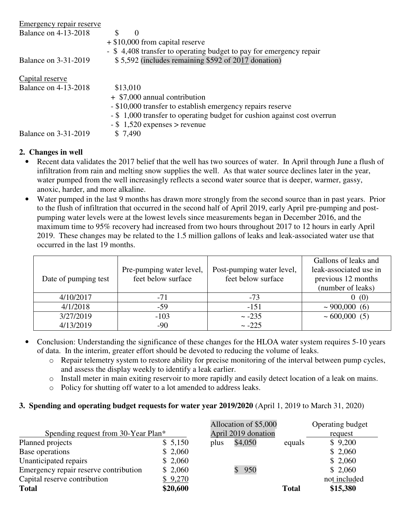| Emergency repair reserve    |                                   |                                                                         |
|-----------------------------|-----------------------------------|-------------------------------------------------------------------------|
| <b>Balance on 4-13-2018</b> | $\theta$                          |                                                                         |
|                             | $+$ \$10,000 from capital reserve |                                                                         |
|                             |                                   | - \$4,408 transfer to operating budget to pay for emergency repair      |
| <b>Balance on 3-31-2019</b> |                                   | $$5,592$ (includes remaining \$592 of 2017 donation)                    |
| Capital reserve             |                                   |                                                                         |
| <b>Balance on 4-13-2018</b> | \$13,010                          |                                                                         |
|                             | + \$7,000 annual contribution     |                                                                         |
|                             |                                   | - \$10,000 transfer to establish emergency repairs reserve              |
|                             |                                   | - \$1,000 transfer to operating budget for cushion against cost overrun |
|                             | $-$ \$ 1,520 expenses > revenue   |                                                                         |
| <b>Balance on 3-31-2019</b> | \$ 7,490                          |                                                                         |

## **2. Changes in well**

- Recent data validates the 2017 belief that the well has two sources of water. In April through June a flush of infiltration from rain and melting snow supplies the well. As that water source declines later in the year, water pumped from the well increasingly reflects a second water source that is deeper, warmer, gassy, anoxic, harder, and more alkaline.
- Water pumped in the last 9 months has drawn more strongly from the second source than in past years. Prior to the flush of infiltration that occurred in the second half of April 2019, early April pre-pumping and postpumping water levels were at the lowest levels since measurements began in December 2016, and the maximum time to 95% recovery had increased from two hours throughout 2017 to 12 hours in early April 2019. These changes may be related to the 1.5 million gallons of leaks and leak-associated water use that occurred in the last 19 months.

|                      |                          |                           | Gallons of leaks and   |
|----------------------|--------------------------|---------------------------|------------------------|
|                      | Pre-pumping water level, | Post-pumping water level, | leak-associated use in |
| Date of pumping test | feet below surface       | feet below surface        | previous 12 months     |
|                      |                          |                           | (number of leaks)      |
| 4/10/2017            | $-71$                    | $-73$                     | 0(0)                   |
| 4/1/2018             | $-59$                    | $-151$                    | $\sim$ 900,000 (6)     |
| 3/27/2019            | $-103$                   | $\sim -235$               | $\sim 600,000$ (5)     |
| 4/13/2019            | $-90$                    | $\sim -225$               |                        |

- Conclusion: Understanding the significance of these changes for the HLOA water system requires 5-10 years of data. In the interim, greater effort should be devoted to reducing the volume of leaks.
	- o Repair telemetry system to restore ability for precise monitoring of the interval between pump cycles, and assess the display weekly to identify a leak earlier.
	- o Install meter in main exiting reservoir to more rapidly and easily detect location of a leak on mains.
	- o Policy for shutting off water to a lot amended to address leaks.

## **3. Spending and operating budget requests for water year 2019/2020** (April 1, 2019 to March 31, 2020)

|                                       |          |                     | Allocation of \$5,000 |              | Operating budget |
|---------------------------------------|----------|---------------------|-----------------------|--------------|------------------|
| Spending request from 30-Year Plan*   |          | April 2019 donation |                       |              | request          |
| Planned projects                      | \$5,150  | plus                | \$4,050               | equals       | \$9,200          |
| Base operations                       | \$2,060  |                     |                       |              | \$2,060          |
| Unanticipated repairs                 | \$2,060  |                     |                       |              | \$2,060          |
| Emergency repair reserve contribution | \$2,060  |                     | 950                   |              | \$2,060          |
| Capital reserve contribution          | \$9,270  |                     |                       |              | not included     |
| <b>Total</b>                          | \$20,600 |                     |                       | <b>Total</b> | \$15,380         |